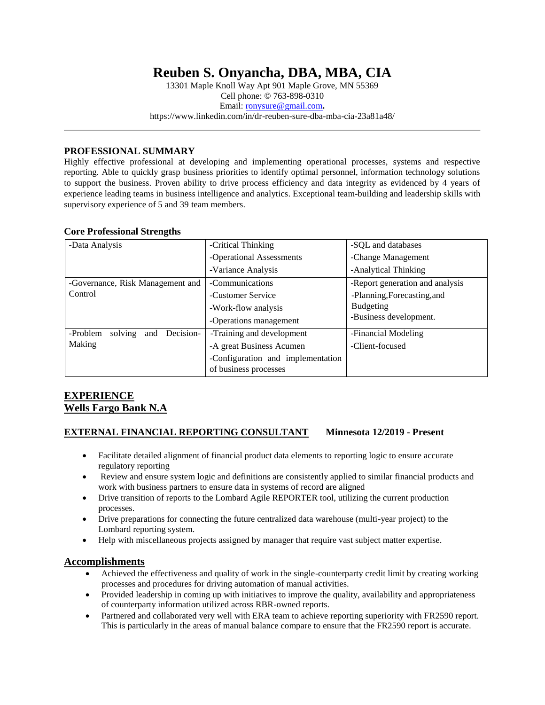# **Reuben S. Onyancha, DBA, MBA, CIA**

13301 Maple Knoll Way Apt 901 Maple Grove, MN 55369 Cell phone: © 763-898-0310 Email: [ronysure@gmail.com](mailto:ronysure@gmail.com)**.** https://www.linkedin.com/in/dr-reuben-sure-dba-mba-cia-23a81a48/

### **PROFESSIONAL SUMMARY**

Highly effective professional at developing and implementing operational processes, systems and respective reporting. Able to quickly grasp business priorities to identify optimal personnel, information technology solutions to support the business. Proven ability to drive process efficiency and data integrity as evidenced by 4 years of experience leading teams in business intelligence and analytics. Exceptional team-building and leadership skills with supervisory experience of 5 and 39 team members.

#### **Core Professional Strengths**

| -Data Analysis                       | -Critical Thinking                                         | -SQL and databases              |
|--------------------------------------|------------------------------------------------------------|---------------------------------|
|                                      | -Operational Assessments                                   | -Change Management              |
|                                      | -Variance Analysis                                         | -Analytical Thinking            |
| -Governance, Risk Management and     | -Communications                                            | -Report generation and analysis |
| Control                              | -Customer Service                                          | -Planning, Forecasting, and     |
|                                      | -Work-flow analysis                                        | Budgeting                       |
|                                      | -Operations management                                     | -Business development.          |
| and Decision-<br>-Problem<br>solving | -Training and development                                  | -Financial Modeling             |
| Making                               | -A great Business Acumen                                   | -Client-focused                 |
|                                      | -Configuration and implementation<br>of business processes |                                 |

# **EXPERIENCE Wells Fargo Bank N.A**

#### **EXTERNAL FINANCIAL REPORTING CONSULTANT Minnesota 12/2019 - Present**

- Facilitate detailed alignment of financial product data elements to reporting logic to ensure accurate regulatory reporting
- Review and ensure system logic and definitions are consistently applied to similar financial products and work with business partners to ensure data in systems of record are aligned
- Drive transition of reports to the Lombard Agile REPORTER tool, utilizing the current production processes.
- Drive preparations for connecting the future centralized data warehouse (multi-year project) to the Lombard reporting system.
- Help with miscellaneous projects assigned by manager that require vast subject matter expertise.

### **Accomplishments**

- Achieved the effectiveness and quality of work in the single-counterparty credit limit by creating working processes and procedures for driving automation of manual activities.
- Provided leadership in coming up with initiatives to improve the quality, availability and appropriateness of counterparty information utilized across RBR-owned reports.
- Partnered and collaborated very well with ERA team to achieve reporting superiority with FR2590 report. This is particularly in the areas of manual balance compare to ensure that the FR2590 report is accurate.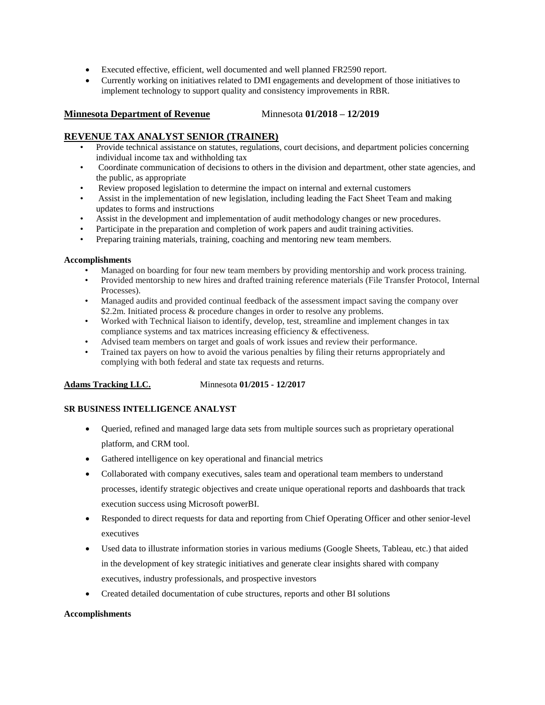- Executed effective, efficient, well documented and well planned FR2590 report.
- Currently working on initiatives related to DMI engagements and development of those initiatives to implement technology to support quality and consistency improvements in RBR.

#### **Minnesota Department of Revenue** Minnesota **01/2018 – 12/2019**

# **REVENUE TAX ANALYST SENIOR (TRAINER)**

- Provide technical assistance on statutes, regulations, court decisions, and department policies concerning individual income tax and withholding tax
- Coordinate communication of decisions to others in the division and department, other state agencies, and the public, as appropriate
- Review proposed legislation to determine the impact on internal and external customers
- Assist in the implementation of new legislation, including leading the Fact Sheet Team and making updates to forms and instructions
- Assist in the development and implementation of audit methodology changes or new procedures.
- Participate in the preparation and completion of work papers and audit training activities.
- Preparing training materials, training, coaching and mentoring new team members.

### **Accomplishments**

- Managed on boarding for four new team members by providing mentorship and work process training.
- Provided mentorship to new hires and drafted training reference materials (File Transfer Protocol, Internal Processes).
- Managed audits and provided continual feedback of the assessment impact saving the company over \$2.2m. Initiated process & procedure changes in order to resolve any problems.
- Worked with Technical liaison to identify, develop, test, streamline and implement changes in tax compliance systems and tax matrices increasing efficiency & effectiveness.
- Advised team members on target and goals of work issues and review their performance.
- Trained tax payers on how to avoid the various penalties by filing their returns appropriately and complying with both federal and state tax requests and returns.

### **Adams Tracking LLC.** Minnesota **01/2015 - 12/2017**

# **SR BUSINESS INTELLIGENCE ANALYST**

- Queried, refined and managed large data sets from multiple sources such as proprietary operational platform, and CRM tool.
- Gathered intelligence on key operational and financial metrics
- Collaborated with company executives, sales team and operational team members to understand processes, identify strategic objectives and create unique operational reports and dashboards that track execution success using Microsoft powerBI.
- Responded to direct requests for data and reporting from Chief Operating Officer and other senior-level executives
- Used data to illustrate information stories in various mediums (Google Sheets, Tableau, etc.) that aided in the development of key strategic initiatives and generate clear insights shared with company executives, industry professionals, and prospective investors
- Created detailed documentation of cube structures, reports and other BI solutions

### **Accomplishments**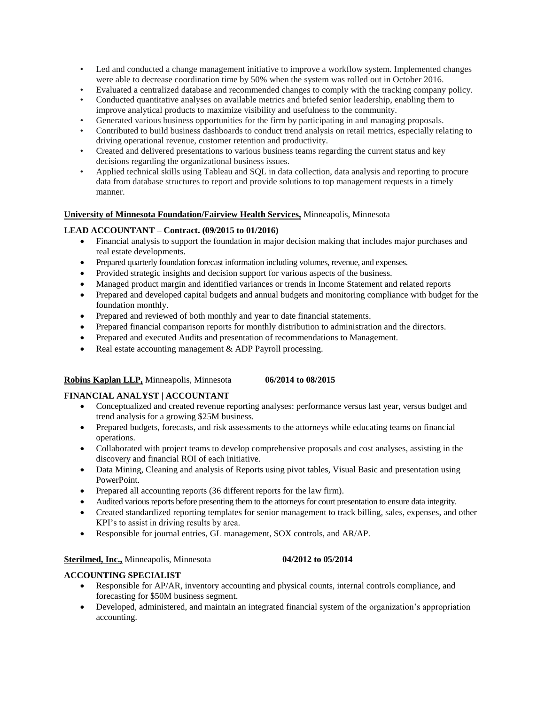- Led and conducted a change management initiative to improve a workflow system. Implemented changes were able to decrease coordination time by 50% when the system was rolled out in October 2016.
- Evaluated a centralized database and recommended changes to comply with the tracking company policy.
- Conducted quantitative analyses on available metrics and briefed senior leadership, enabling them to improve analytical products to maximize visibility and usefulness to the community.
- Generated various business opportunities for the firm by participating in and managing proposals.
- Contributed to build business dashboards to conduct trend analysis on retail metrics, especially relating to driving operational revenue, customer retention and productivity.
- Created and delivered presentations to various business teams regarding the current status and key decisions regarding the organizational business issues.
- Applied technical skills using Tableau and SQL in data collection, data analysis and reporting to procure data from database structures to report and provide solutions to top management requests in a timely manner.

## **University of Minnesota Foundation/Fairview Health Services,** Minneapolis, Minnesota

### **LEAD ACCOUNTANT – Contract. (09/2015 to 01/2016)**

- Financial analysis to support the foundation in major decision making that includes major purchases and real estate developments.
- Prepared quarterly foundation forecast information including volumes, revenue, and expenses.
- Provided strategic insights and decision support for various aspects of the business.
- Managed product margin and identified variances or trends in Income Statement and related reports
- Prepared and developed capital budgets and annual budgets and monitoring compliance with budget for the foundation monthly.
- Prepared and reviewed of both monthly and year to date financial statements.
- Prepared financial comparison reports for monthly distribution to administration and the directors.
- Prepared and executed Audits and presentation of recommendations to Management.
- Real estate accounting management  $&$  ADP Payroll processing.

### **Robins Kaplan LLP,** Minneapolis, Minnesota **06/2014 to 08/2015**

# **FINANCIAL ANALYST | ACCOUNTANT**

- Conceptualized and created revenue reporting analyses: performance versus last year, versus budget and trend analysis for a growing \$25M business.
- Prepared budgets, forecasts, and risk assessments to the attorneys while educating teams on financial operations.
- Collaborated with project teams to develop comprehensive proposals and cost analyses, assisting in the discovery and financial ROI of each initiative.
- Data Mining, Cleaning and analysis of Reports using pivot tables, Visual Basic and presentation using PowerPoint.
- Prepared all accounting reports (36 different reports for the law firm).
- Audited various reports before presenting them to the attorneys for court presentation to ensure data integrity.
- Created standardized reporting templates for senior management to track billing, sales, expenses, and other KPI's to assist in driving results by area.
- Responsible for journal entries, GL management, SOX controls, and AR/AP.

### **Sterilmed, Inc.,** Minneapolis, Minnesota **04/2012 to 05/2014**

### **ACCOUNTING SPECIALIST**

- Responsible for AP/AR, inventory accounting and physical counts, internal controls compliance, and forecasting for \$50M business segment.
- Developed, administered, and maintain an integrated financial system of the organization's appropriation accounting.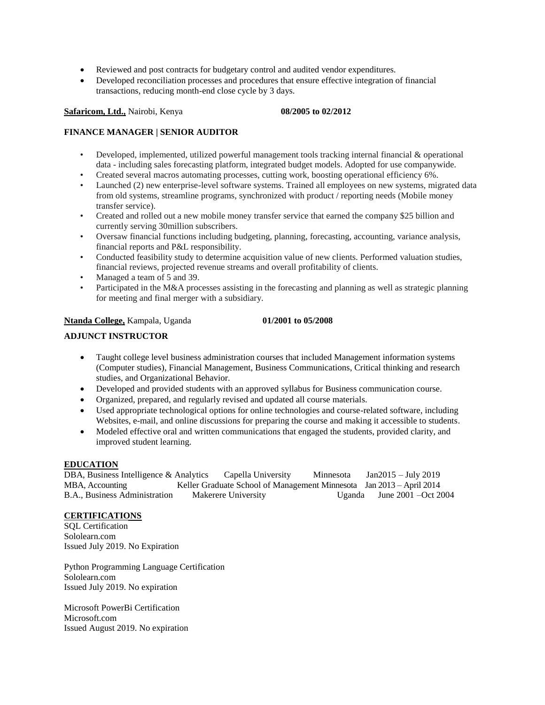- Reviewed and post contracts for budgetary control and audited vendor expenditures.
- Developed reconciliation processes and procedures that ensure effective integration of financial transactions, reducing month-end close cycle by 3 days.

#### **Safaricom, Ltd.,** Nairobi, Kenya **08/2005 to 02/2012**

#### **FINANCE MANAGER | SENIOR AUDITOR**

- Developed, implemented, utilized powerful management tools tracking internal financial & operational data - including sales forecasting platform, integrated budget models. Adopted for use companywide.
- Created several macros automating processes, cutting work, boosting operational efficiency 6%.
- Launched (2) new enterprise-level software systems. Trained all employees on new systems, migrated data from old systems, streamline programs, synchronized with product / reporting needs (Mobile money transfer service).
- Created and rolled out a new mobile money transfer service that earned the company \$25 billion and currently serving 30million subscribers.
- Oversaw financial functions including budgeting, planning, forecasting, accounting, variance analysis, financial reports and P&L responsibility.
- Conducted feasibility study to determine acquisition value of new clients. Performed valuation studies, financial reviews, projected revenue streams and overall profitability of clients.
- Managed a team of 5 and 39.
- Participated in the M&A processes assisting in the forecasting and planning as well as strategic planning for meeting and final merger with a subsidiary.

### **Ntanda College,** Kampala, Uganda **01/2001 to 05/2008**

#### **ADJUNCT INSTRUCTOR**

- Taught college level business administration courses that included Management information systems (Computer studies), Financial Management, Business Communications, Critical thinking and research studies, and Organizational Behavior.
- Developed and provided students with an approved syllabus for Business communication course.
- Organized, prepared, and regularly revised and updated all course materials.
- Used appropriate technological options for online technologies and course-related software, including Websites, e-mail, and online discussions for preparing the course and making it accessible to students.
- Modeled effective oral and written communications that engaged the students, provided clarity, and improved student learning.

#### **EDUCATION**

DBA, Business Intelligence & Analytics Capella University Minnesota Jan2015 – July 2019 MBA, AccountingKeller Graduate School of Management Minnesota Jan 2013 – April 2014 B.A., Business Administration Makerere University Uganda June 2001 –Oct 2004

#### **CERTIFICATIONS**

SQL Certification Sololearn.com Issued July 2019. No Expiration

Python Programming Language Certification Sololearn.com Issued July 2019. No expiration

Microsoft PowerBi Certification Microsoft.com Issued August 2019. No expiration